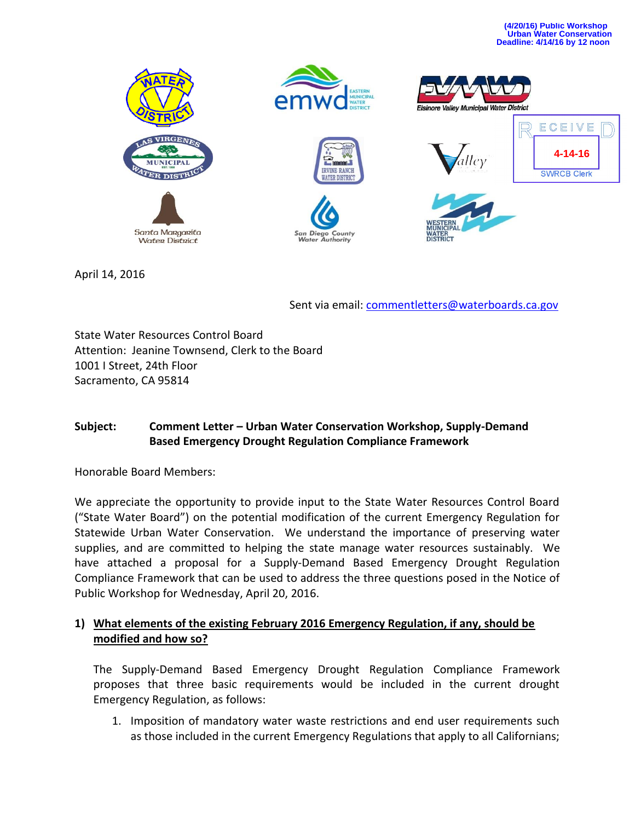





Countv

Writer





April 14, 2016

Sent via email: [commentletters@waterboards.ca.gov](mailto:commentletters@waterboards.ca.gov)

State Water Resources Control Board Attention: Jeanine Townsend, Clerk to the Board 1001 I Street, 24th Floor Sacramento, CA 95814

## **Subject: Comment Letter – Urban Water Conservation Workshop, Supply-Demand Based Emergency Drought Regulation Compliance Framework**

Honorable Board Members:

We appreciate the opportunity to provide input to the State Water Resources Control Board ("State Water Board") on the potential modification of the current Emergency Regulation for Statewide Urban Water Conservation. We understand the importance of preserving water supplies, and are committed to helping the state manage water resources sustainably. We have attached a proposal for a Supply-Demand Based Emergency Drought Regulation Compliance Framework that can be used to address the three questions posed in the Notice of Public Workshop for Wednesday, April 20, 2016.

# **1) What elements of the existing February 2016 Emergency Regulation, if any, should be modified and how so?**

The Supply-Demand Based Emergency Drought Regulation Compliance Framework proposes that three basic requirements would be included in the current drought Emergency Regulation, as follows:

1. Imposition of mandatory water waste restrictions and end user requirements such as those included in the current Emergency Regulations that apply to all Californians;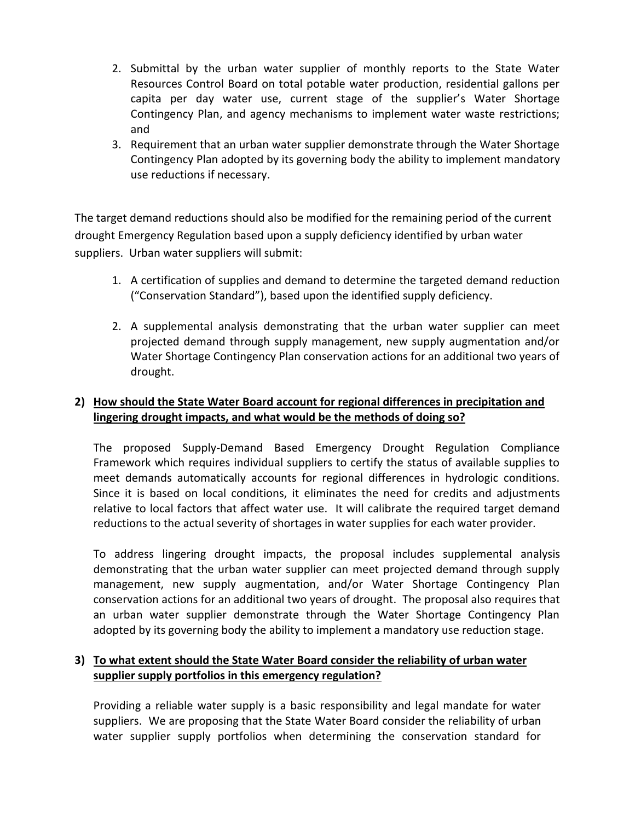- 2. Submittal by the urban water supplier of monthly reports to the State Water Resources Control Board on total potable water production, residential gallons per capita per day water use, current stage of the supplier's Water Shortage Contingency Plan, and agency mechanisms to implement water waste restrictions; and
- 3. Requirement that an urban water supplier demonstrate through the Water Shortage Contingency Plan adopted by its governing body the ability to implement mandatory use reductions if necessary.

The target demand reductions should also be modified for the remaining period of the current drought Emergency Regulation based upon a supply deficiency identified by urban water suppliers. Urban water suppliers will submit:

- 1. A certification of supplies and demand to determine the targeted demand reduction ("Conservation Standard"), based upon the identified supply deficiency.
- 2. A supplemental analysis demonstrating that the urban water supplier can meet projected demand through supply management, new supply augmentation and/or Water Shortage Contingency Plan conservation actions for an additional two years of drought.

## **2) How should the State Water Board account for regional differences in precipitation and lingering drought impacts, and what would be the methods of doing so?**

The proposed Supply-Demand Based Emergency Drought Regulation Compliance Framework which requires individual suppliers to certify the status of available supplies to meet demands automatically accounts for regional differences in hydrologic conditions. Since it is based on local conditions, it eliminates the need for credits and adjustments relative to local factors that affect water use. It will calibrate the required target demand reductions to the actual severity of shortages in water supplies for each water provider.

To address lingering drought impacts, the proposal includes supplemental analysis demonstrating that the urban water supplier can meet projected demand through supply management, new supply augmentation, and/or Water Shortage Contingency Plan conservation actions for an additional two years of drought. The proposal also requires that an urban water supplier demonstrate through the Water Shortage Contingency Plan adopted by its governing body the ability to implement a mandatory use reduction stage.

## **3) To what extent should the State Water Board consider the reliability of urban water supplier supply portfolios in this emergency regulation?**

Providing a reliable water supply is a basic responsibility and legal mandate for water suppliers. We are proposing that the State Water Board consider the reliability of urban water supplier supply portfolios when determining the conservation standard for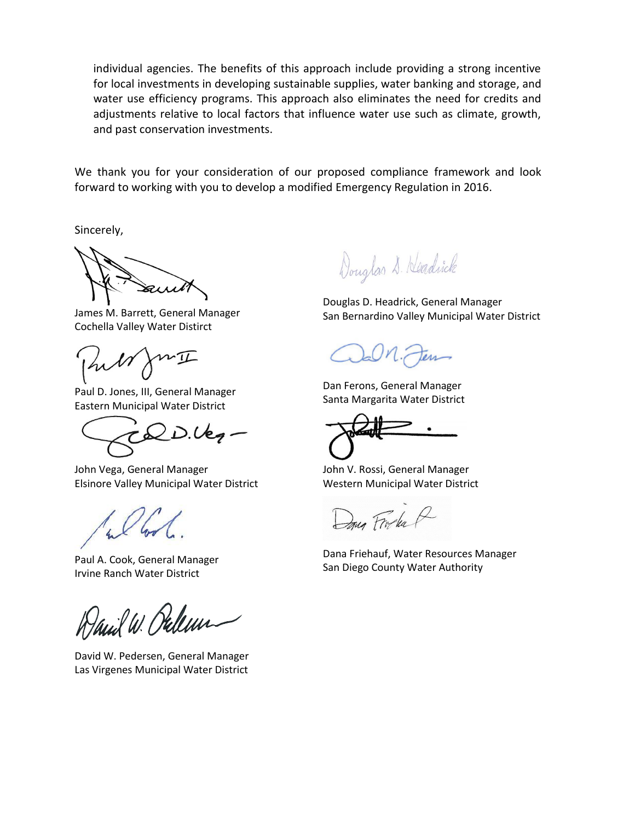individual agencies. The benefits of this approach include providing a strong incentive for local investments in developing sustainable supplies, water banking and storage, and water use efficiency programs. This approach also eliminates the need for credits and adjustments relative to local factors that influence water use such as climate, growth, and past conservation investments.

We thank you for your consideration of our proposed compliance framework and look forward to working with you to develop a modified Emergency Regulation in 2016.

Sincerely,

James M. Barrett, General Manager Cochella Valley Water Distirct

 $m\mathcal{T}$ 

Paul D. Jones, III, General Manager Eastern Municipal Water District

 $\tau\&D.\mathcal{U}e_{7}-$ 

John Vega, General Manager Elsinore Valley Municipal Water District

Paul A. Cook, General Manager Irvine Ranch Water District

Janil W. Peleun

David W. Pedersen, General Manager Las Virgenes Municipal Water District

Douglas D. Headrick

Douglas D. Headrick, General Manager San Bernardino Valley Municipal Water District

Dan Ferons, General Manager Santa Margarita Water District

John V. Rossi, General Manager Western Municipal Water District

Down Frida

Dana Friehauf, Water Resources Manager San Diego County Water Authority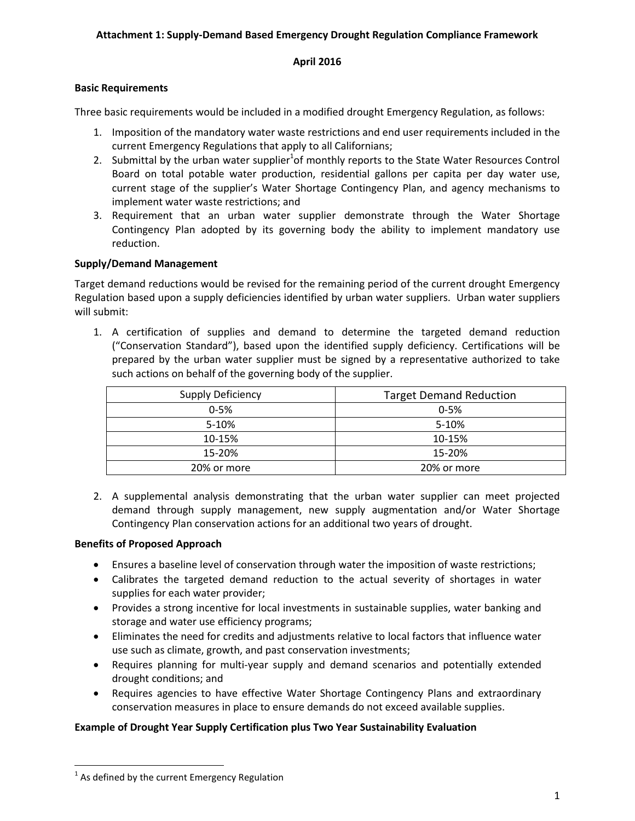#### **Attachment 1: Supply-Demand Based Emergency Drought Regulation Compliance Framework**

#### **April 2016**

### **Basic Requirements**

Three basic requirements would be included in a modified drought Emergency Regulation, as follows:

- 1. Imposition of the mandatory water waste restrictions and end user requirements included in the current Emergency Regulations that apply to all Californians;
- 2. Submittal by the urban water supplier<sup>1</sup> of monthly reports to the State Water Resources Control Board on total potable water production, residential gallons per capita per day water use, current stage of the supplier's Water Shortage Contingency Plan, and agency mechanisms to implement water waste restrictions; and
- 3. Requirement that an urban water supplier demonstrate through the Water Shortage Contingency Plan adopted by its governing body the ability to implement mandatory use reduction.

#### **Supply/Demand Management**

Target demand reductions would be revised for the remaining period of the current drought Emergency Regulation based upon a supply deficiencies identified by urban water suppliers. Urban water suppliers will submit:

1. A certification of supplies and demand to determine the targeted demand reduction ("Conservation Standard"), based upon the identified supply deficiency. Certifications will be prepared by the urban water supplier must be signed by a representative authorized to take such actions on behalf of the governing body of the supplier.

| <b>Supply Deficiency</b> | <b>Target Demand Reduction</b> |  |
|--------------------------|--------------------------------|--|
| $0 - 5%$                 | $0 - 5%$                       |  |
| $5-10%$                  | $5 - 10%$                      |  |
| 10-15%                   | 10-15%                         |  |
| 15-20%                   | 15-20%                         |  |
| 20% or more              | 20% or more                    |  |

2. A supplemental analysis demonstrating that the urban water supplier can meet projected demand through supply management, new supply augmentation and/or Water Shortage Contingency Plan conservation actions for an additional two years of drought.

### **Benefits of Proposed Approach**

- Ensures a baseline level of conservation through water the imposition of waste restrictions;
- Calibrates the targeted demand reduction to the actual severity of shortages in water supplies for each water provider;
- Provides a strong incentive for local investments in sustainable supplies, water banking and storage and water use efficiency programs;
- Eliminates the need for credits and adjustments relative to local factors that influence water use such as climate, growth, and past conservation investments;
- Requires planning for multi-year supply and demand scenarios and potentially extended drought conditions; and
- Requires agencies to have effective Water Shortage Contingency Plans and extraordinary conservation measures in place to ensure demands do not exceed available supplies.

### **Example of Drought Year Supply Certification plus Two Year Sustainability Evaluation**

 $\overline{\phantom{a}}$ 

 $<sup>1</sup>$  As defined by the current Emergency Regulation</sup>